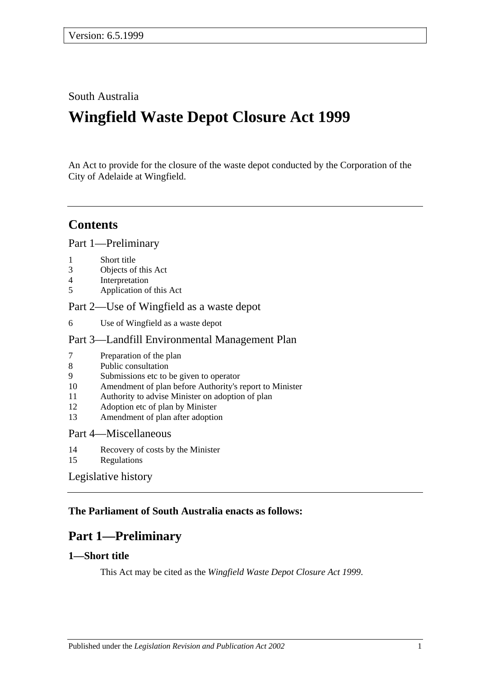#### South Australia

# **Wingfield Waste Depot Closure Act 1999**

An Act to provide for the closure of the waste depot conducted by the Corporation of the City of Adelaide at Wingfield.

### **Contents**

[Part 1—Preliminary](#page-0-0)

- 1 [Short title](#page-0-1)
- 3 [Objects of this Act](#page-1-0)
- 4 [Interpretation](#page-1-1)
- 5 [Application of this Act](#page-1-2)

#### [Part 2—Use of Wingfield as a waste depot](#page-1-3)

6 [Use of Wingfield as a waste depot](#page-1-4)

#### [Part 3—Landfill Environmental Management Plan](#page-2-0)

- 7 [Preparation of the plan](#page-2-1)
- 8 [Public consultation](#page-3-0)
- 9 [Submissions etc to be given to operator](#page-3-1)
- 10 [Amendment of plan before Authority's report to Minister](#page-4-0)
- 11 [Authority to advise Minister on adoption of plan](#page-4-1)
- 12 [Adoption etc of plan by Minister](#page-4-2)
- 13 [Amendment of plan after adoption](#page-5-0)

#### [Part 4—Miscellaneous](#page-5-1)

- 14 [Recovery of costs by the Minister](#page-5-2)
- 15 [Regulations](#page-5-3)

#### [Legislative history](#page-6-0)

#### <span id="page-0-0"></span>**The Parliament of South Australia enacts as follows:**

# **Part 1—Preliminary**

#### <span id="page-0-1"></span>**1—Short title**

This Act may be cited as the *Wingfield Waste Depot Closure Act 1999*.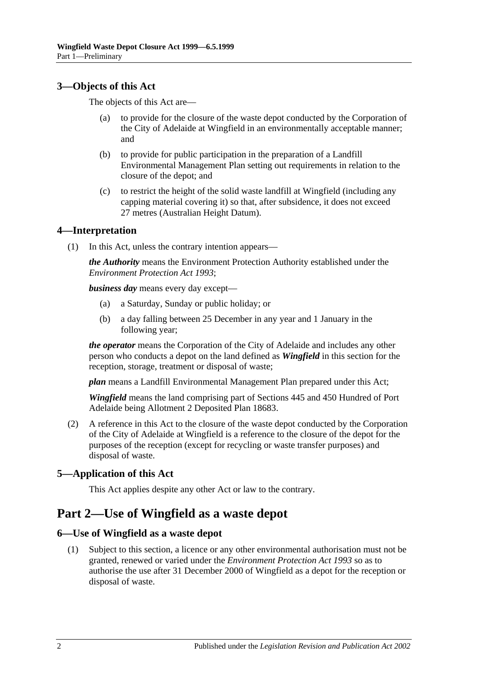#### <span id="page-1-0"></span>**3—Objects of this Act**

The objects of this Act are—

- (a) to provide for the closure of the waste depot conducted by the Corporation of the City of Adelaide at Wingfield in an environmentally acceptable manner; and
- (b) to provide for public participation in the preparation of a Landfill Environmental Management Plan setting out requirements in relation to the closure of the depot; and
- (c) to restrict the height of the solid waste landfill at Wingfield (including any capping material covering it) so that, after subsidence, it does not exceed 27 metres (Australian Height Datum).

#### <span id="page-1-1"></span>**4—Interpretation**

(1) In this Act, unless the contrary intention appears—

*the Authority* means the Environment Protection Authority established under the *[Environment Protection Act](http://www.legislation.sa.gov.au/index.aspx?action=legref&type=act&legtitle=Environment%20Protection%20Act%201993) 1993*;

*business day* means every day except—

- (a) a Saturday, Sunday or public holiday; or
- (b) a day falling between 25 December in any year and 1 January in the following year;

*the operator* means the Corporation of the City of Adelaide and includes any other person who conducts a depot on the land defined as *Wingfield* in this section for the reception, storage, treatment or disposal of waste;

*plan* means a Landfill Environmental Management Plan prepared under this Act;

*Wingfield* means the land comprising part of Sections 445 and 450 Hundred of Port Adelaide being Allotment 2 Deposited Plan 18683.

(2) A reference in this Act to the closure of the waste depot conducted by the Corporation of the City of Adelaide at Wingfield is a reference to the closure of the depot for the purposes of the reception (except for recycling or waste transfer purposes) and disposal of waste.

#### <span id="page-1-2"></span>**5—Application of this Act**

This Act applies despite any other Act or law to the contrary.

# <span id="page-1-3"></span>**Part 2—Use of Wingfield as a waste depot**

#### <span id="page-1-4"></span>**6—Use of Wingfield as a waste depot**

(1) Subject to this section, a licence or any other environmental authorisation must not be granted, renewed or varied under the *[Environment Protection Act](http://www.legislation.sa.gov.au/index.aspx?action=legref&type=act&legtitle=Environment%20Protection%20Act%201993) 1993* so as to authorise the use after 31 December 2000 of Wingfield as a depot for the reception or disposal of waste.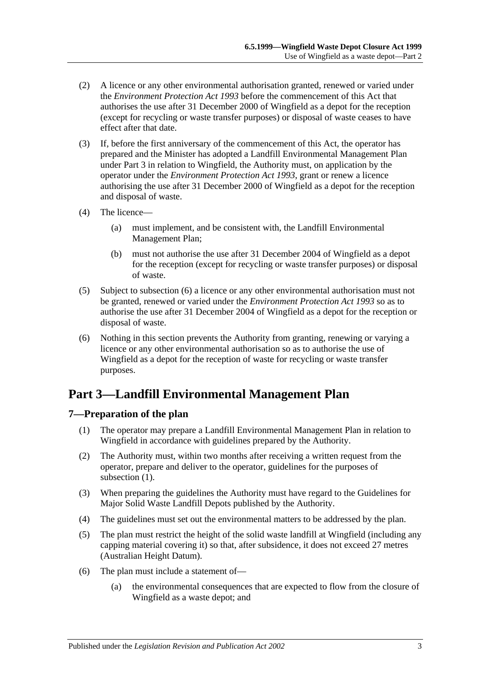- (2) A licence or any other environmental authorisation granted, renewed or varied under the *[Environment Protection Act](http://www.legislation.sa.gov.au/index.aspx?action=legref&type=act&legtitle=Environment%20Protection%20Act%201993) 1993* before the commencement of this Act that authorises the use after 31 December 2000 of Wingfield as a depot for the reception (except for recycling or waste transfer purposes) or disposal of waste ceases to have effect after that date.
- (3) If, before the first anniversary of the commencement of this Act, the operator has prepared and the Minister has adopted a Landfill Environmental Management Plan under [Part 3](#page-2-0) in relation to Wingfield, the Authority must, on application by the operator under the *[Environment Protection Act](http://www.legislation.sa.gov.au/index.aspx?action=legref&type=act&legtitle=Environment%20Protection%20Act%201993) 1993*, grant or renew a licence authorising the use after 31 December 2000 of Wingfield as a depot for the reception and disposal of waste.
- (4) The licence—
	- (a) must implement, and be consistent with, the Landfill Environmental Management Plan;
	- (b) must not authorise the use after 31 December 2004 of Wingfield as a depot for the reception (except for recycling or waste transfer purposes) or disposal of waste.
- (5) Subject to [subsection](#page-2-2) (6) a licence or any other environmental authorisation must not be granted, renewed or varied under the *[Environment Protection Act](http://www.legislation.sa.gov.au/index.aspx?action=legref&type=act&legtitle=Environment%20Protection%20Act%201993) 1993* so as to authorise the use after 31 December 2004 of Wingfield as a depot for the reception or disposal of waste.
- <span id="page-2-2"></span>(6) Nothing in this section prevents the Authority from granting, renewing or varying a licence or any other environmental authorisation so as to authorise the use of Wingfield as a depot for the reception of waste for recycling or waste transfer purposes.

# <span id="page-2-0"></span>**Part 3—Landfill Environmental Management Plan**

#### <span id="page-2-3"></span><span id="page-2-1"></span>**7—Preparation of the plan**

- (1) The operator may prepare a Landfill Environmental Management Plan in relation to Wingfield in accordance with guidelines prepared by the Authority.
- <span id="page-2-4"></span>(2) The Authority must, within two months after receiving a written request from the operator, prepare and deliver to the operator, guidelines for the purposes of [subsection](#page-2-3)  $(1)$ .
- (3) When preparing the guidelines the Authority must have regard to the Guidelines for Major Solid Waste Landfill Depots published by the Authority.
- (4) The guidelines must set out the environmental matters to be addressed by the plan.
- (5) The plan must restrict the height of the solid waste landfill at Wingfield (including any capping material covering it) so that, after subsidence, it does not exceed 27 metres (Australian Height Datum).
- (6) The plan must include a statement of—
	- (a) the environmental consequences that are expected to flow from the closure of Wingfield as a waste depot; and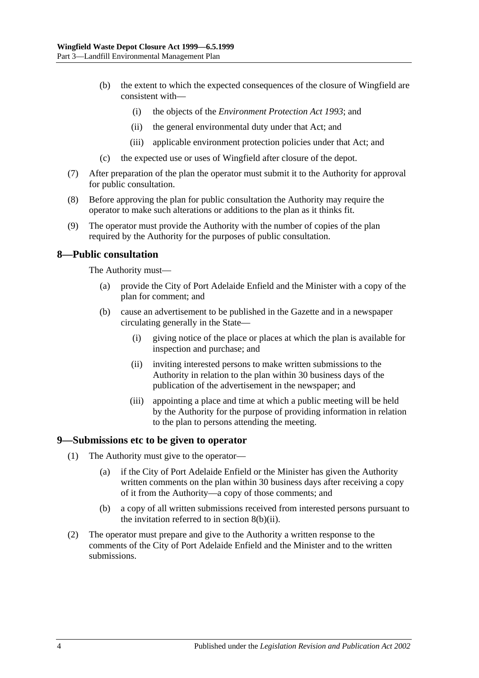- (b) the extent to which the expected consequences of the closure of Wingfield are consistent with—
	- (i) the objects of the *[Environment Protection Act](http://www.legislation.sa.gov.au/index.aspx?action=legref&type=act&legtitle=Environment%20Protection%20Act%201993) 1993*; and
	- (ii) the general environmental duty under that Act; and
	- (iii) applicable environment protection policies under that Act; and
- (c) the expected use or uses of Wingfield after closure of the depot.
- (7) After preparation of the plan the operator must submit it to the Authority for approval for public consultation.
- <span id="page-3-3"></span>(8) Before approving the plan for public consultation the Authority may require the operator to make such alterations or additions to the plan as it thinks fit.
- (9) The operator must provide the Authority with the number of copies of the plan required by the Authority for the purposes of public consultation.

#### <span id="page-3-0"></span>**8—Public consultation**

The Authority must—

- (a) provide the City of Port Adelaide Enfield and the Minister with a copy of the plan for comment; and
- <span id="page-3-2"></span>(b) cause an advertisement to be published in the Gazette and in a newspaper circulating generally in the State—
	- (i) giving notice of the place or places at which the plan is available for inspection and purchase; and
	- (ii) inviting interested persons to make written submissions to the Authority in relation to the plan within 30 business days of the publication of the advertisement in the newspaper; and
	- (iii) appointing a place and time at which a public meeting will be held by the Authority for the purpose of providing information in relation to the plan to persons attending the meeting.

#### <span id="page-3-1"></span>**9—Submissions etc to be given to operator**

- (1) The Authority must give to the operator—
	- (a) if the City of Port Adelaide Enfield or the Minister has given the Authority written comments on the plan within 30 business days after receiving a copy of it from the Authority—a copy of those comments; and
	- (b) a copy of all written submissions received from interested persons pursuant to the invitation referred to in section [8\(b\)\(ii\).](#page-3-2)
- <span id="page-3-4"></span>(2) The operator must prepare and give to the Authority a written response to the comments of the City of Port Adelaide Enfield and the Minister and to the written submissions.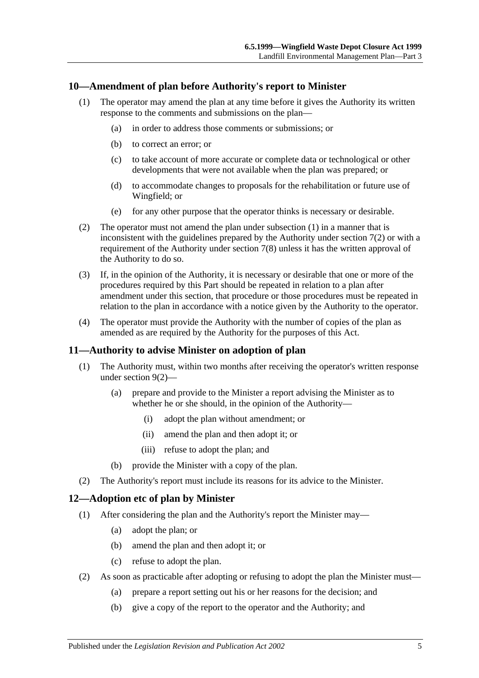#### <span id="page-4-3"></span><span id="page-4-0"></span>**10—Amendment of plan before Authority's report to Minister**

- (1) The operator may amend the plan at any time before it gives the Authority its written response to the comments and submissions on the plan—
	- (a) in order to address those comments or submissions; or
	- (b) to correct an error; or
	- (c) to take account of more accurate or complete data or technological or other developments that were not available when the plan was prepared; or
	- (d) to accommodate changes to proposals for the rehabilitation or future use of Wingfield; or
	- (e) for any other purpose that the operator thinks is necessary or desirable.
- (2) The operator must not amend the plan under [subsection](#page-4-3) (1) in a manner that is inconsistent with the guidelines prepared by the Authority under [section](#page-2-4)  $7(2)$  or with a requirement of the Authority under [section](#page-3-3) 7(8) unless it has the written approval of the Authority to do so.
- (3) If, in the opinion of the Authority, it is necessary or desirable that one or more of the procedures required by this Part should be repeated in relation to a plan after amendment under this section, that procedure or those procedures must be repeated in relation to the plan in accordance with a notice given by the Authority to the operator.
- (4) The operator must provide the Authority with the number of copies of the plan as amended as are required by the Authority for the purposes of this Act.

#### <span id="page-4-1"></span>**11—Authority to advise Minister on adoption of plan**

- (1) The Authority must, within two months after receiving the operator's written response under [section](#page-3-4) 9(2)—
	- (a) prepare and provide to the Minister a report advising the Minister as to whether he or she should, in the opinion of the Authority—
		- (i) adopt the plan without amendment; or
		- (ii) amend the plan and then adopt it; or
		- (iii) refuse to adopt the plan; and
	- (b) provide the Minister with a copy of the plan.
- (2) The Authority's report must include its reasons for its advice to the Minister.

#### <span id="page-4-2"></span>**12—Adoption etc of plan by Minister**

- (1) After considering the plan and the Authority's report the Minister may—
	- (a) adopt the plan; or
	- (b) amend the plan and then adopt it; or
	- (c) refuse to adopt the plan.
- (2) As soon as practicable after adopting or refusing to adopt the plan the Minister must—
	- (a) prepare a report setting out his or her reasons for the decision; and
	- (b) give a copy of the report to the operator and the Authority; and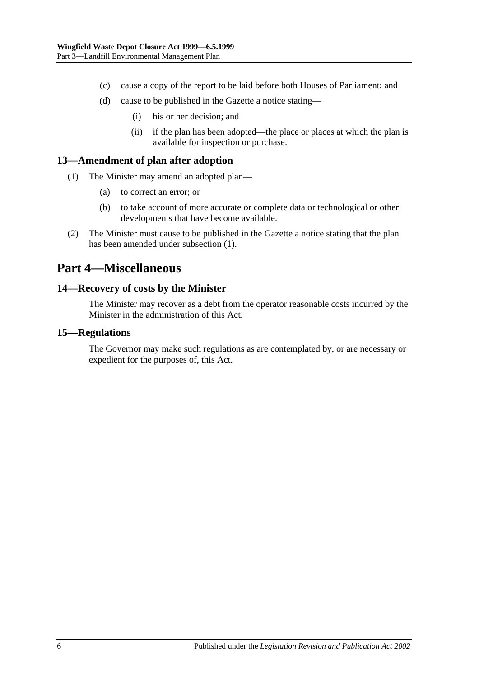- (c) cause a copy of the report to be laid before both Houses of Parliament; and
- (d) cause to be published in the Gazette a notice stating—
	- (i) his or her decision; and
	- (ii) if the plan has been adopted—the place or places at which the plan is available for inspection or purchase.

#### <span id="page-5-4"></span><span id="page-5-0"></span>**13—Amendment of plan after adoption**

- (1) The Minister may amend an adopted plan—
	- (a) to correct an error; or
	- (b) to take account of more accurate or complete data or technological or other developments that have become available.
- (2) The Minister must cause to be published in the Gazette a notice stating that the plan has been amended under [subsection](#page-5-4) (1).

### <span id="page-5-1"></span>**Part 4—Miscellaneous**

#### <span id="page-5-2"></span>**14—Recovery of costs by the Minister**

The Minister may recover as a debt from the operator reasonable costs incurred by the Minister in the administration of this Act.

#### <span id="page-5-3"></span>**15—Regulations**

The Governor may make such regulations as are contemplated by, or are necessary or expedient for the purposes of, this Act.